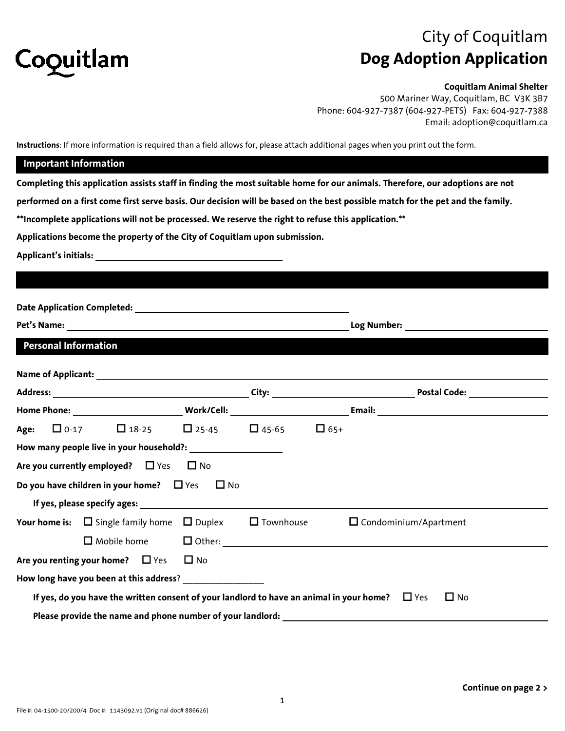

## City of Coquitlam **Dog Adoption Application**

## **Coquitlam Animal Shelter**

500 Mariner Way, Coquitlam, BC V3K 3B7 Phone: 604-927-7387 (604-927-PETS) Fax: 604-927-7388 Email: adoption@coquitlam.ca

**Instructions**: If more information is required than a field allows for, please attach additional pages when you print out the form.

## **Important Information**

**Completing this application assists staff in finding the most suitable home for our animals. Therefore, our adoptions are not** 

**performed on a first come first serve basis. Our decision will be based on the best possible match for the pet and the family.**

**\*\*Incomplete applications will not be processed. We reserve the right to refuse this application.\*\*** 

**Applications become the property of the City of Coquitlam upon submission.**

**Applicant's initials:**

| <b>Personal Information</b> |                                                                                                        |           |                           |            |                                                                                                            |  |
|-----------------------------|--------------------------------------------------------------------------------------------------------|-----------|---------------------------|------------|------------------------------------------------------------------------------------------------------------|--|
|                             |                                                                                                        |           |                           |            |                                                                                                            |  |
|                             |                                                                                                        |           |                           |            |                                                                                                            |  |
|                             |                                                                                                        |           |                           |            |                                                                                                            |  |
|                             | Age: $\Box$ 0-17 $\Box$ 18-25                                                                          |           | $\Box$ 25-45 $\Box$ 45-65 | $\Box$ 65+ |                                                                                                            |  |
|                             |                                                                                                        |           |                           |            |                                                                                                            |  |
|                             | Are you currently employed? $\Box$ Yes $\Box$ No                                                       |           |                           |            |                                                                                                            |  |
|                             | Do you have children in your home? $\Box$ Yes $\Box$ No                                                |           |                           |            |                                                                                                            |  |
|                             |                                                                                                        |           |                           |            |                                                                                                            |  |
|                             |                                                                                                        |           |                           |            | <b>Your home is:</b> $\Box$ Single family home $\Box$ Duplex $\Box$ Townhouse $\Box$ Condominium/Apartment |  |
|                             |                                                                                                        |           |                           |            |                                                                                                            |  |
|                             | Are you renting your home? $\Box$ Yes                                                                  | $\Box$ No |                           |            |                                                                                                            |  |
|                             | How long have you been at this address? __________________                                             |           |                           |            |                                                                                                            |  |
|                             | If yes, do you have the written consent of your landlord to have an animal in your home? $\square$ Yes |           |                           |            | $\Box$ No                                                                                                  |  |
|                             | Please provide the name and phone number of your landlord:                                             |           |                           |            |                                                                                                            |  |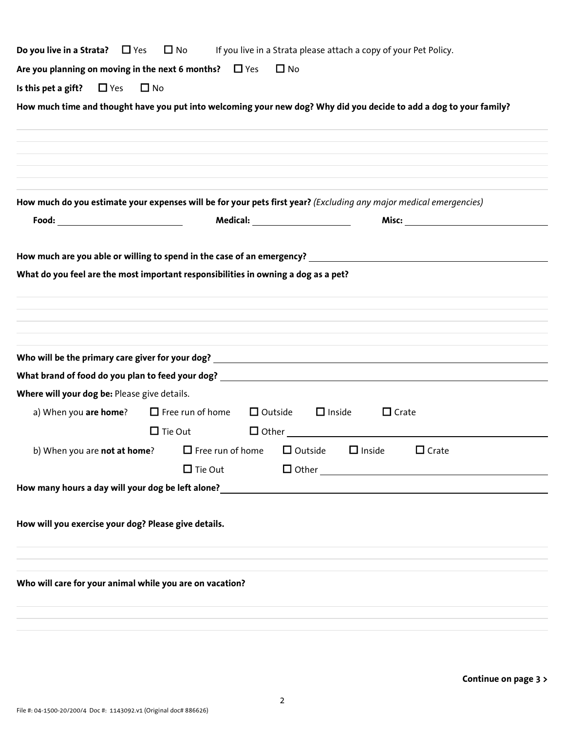| Do you live in a Strata? $\Box$ Yes                      | $\Box$ No                                                                                                           | If you live in a Strata please attach a copy of your Pet Policy.                                           |  |  |
|----------------------------------------------------------|---------------------------------------------------------------------------------------------------------------------|------------------------------------------------------------------------------------------------------------|--|--|
|                                                          | Are you planning on moving in the next 6 months? $\Box$ Yes                                                         | $\Box$ No                                                                                                  |  |  |
| Is this pet a gift? $\Box$ Yes $\Box$ No                 |                                                                                                                     |                                                                                                            |  |  |
|                                                          | How much time and thought have you put into welcoming your new dog? Why did you decide to add a dog to your family? |                                                                                                            |  |  |
|                                                          |                                                                                                                     |                                                                                                            |  |  |
|                                                          |                                                                                                                     |                                                                                                            |  |  |
|                                                          |                                                                                                                     |                                                                                                            |  |  |
|                                                          |                                                                                                                     |                                                                                                            |  |  |
|                                                          | How much do you estimate your expenses will be for your pets first year? (Excluding any major medical emergencies)  |                                                                                                            |  |  |
|                                                          |                                                                                                                     |                                                                                                            |  |  |
|                                                          |                                                                                                                     |                                                                                                            |  |  |
|                                                          |                                                                                                                     |                                                                                                            |  |  |
|                                                          | What do you feel are the most important responsibilities in owning a dog as a pet?                                  |                                                                                                            |  |  |
|                                                          |                                                                                                                     |                                                                                                            |  |  |
|                                                          |                                                                                                                     |                                                                                                            |  |  |
|                                                          |                                                                                                                     |                                                                                                            |  |  |
|                                                          |                                                                                                                     |                                                                                                            |  |  |
|                                                          |                                                                                                                     |                                                                                                            |  |  |
|                                                          |                                                                                                                     |                                                                                                            |  |  |
| Where will your dog be: Please give details.             |                                                                                                                     |                                                                                                            |  |  |
|                                                          | a) When you <b>are home</b> ? $\Box$ Free run of home $\Box$ Outside $\Box$ Inside                                  | $\Box$ Crate                                                                                               |  |  |
|                                                          |                                                                                                                     |                                                                                                            |  |  |
|                                                          | b) When you are <b>not at home</b> ? $\Box$ Free run of home $\Box$ Outside $\Box$ Inside $\Box$ Crate              |                                                                                                            |  |  |
|                                                          | $\Box$ Tie Out                                                                                                      |                                                                                                            |  |  |
| How many hours a day will your dog be left alone?        |                                                                                                                     | <u>and the contract of the contract of the contract of the contract of the contract of the contract of</u> |  |  |
|                                                          |                                                                                                                     |                                                                                                            |  |  |
| How will you exercise your dog? Please give details.     |                                                                                                                     |                                                                                                            |  |  |
|                                                          |                                                                                                                     |                                                                                                            |  |  |
|                                                          |                                                                                                                     |                                                                                                            |  |  |
| Who will care for your animal while you are on vacation? |                                                                                                                     |                                                                                                            |  |  |
|                                                          |                                                                                                                     |                                                                                                            |  |  |
|                                                          |                                                                                                                     |                                                                                                            |  |  |
|                                                          |                                                                                                                     |                                                                                                            |  |  |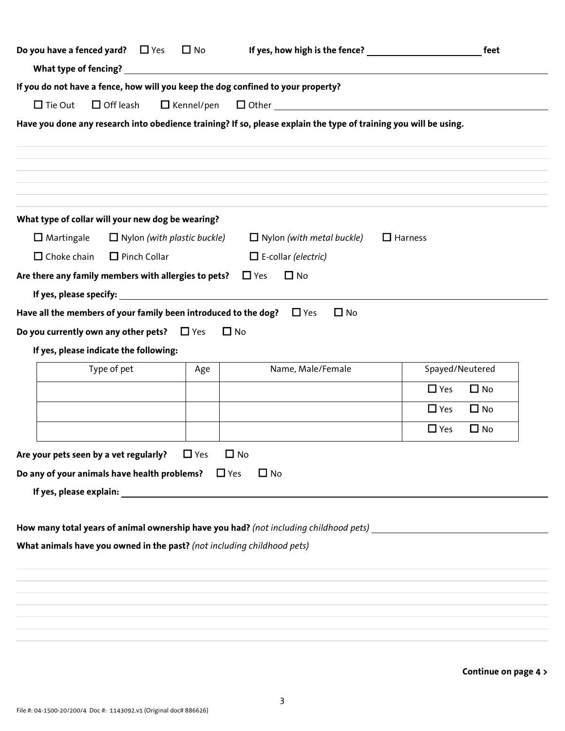| Do you have a fenced yard? $\Box$ Yes $\Box$ No         |                     |                                    |                                                                                                                                                                                                                                | feet                    |
|---------------------------------------------------------|---------------------|------------------------------------|--------------------------------------------------------------------------------------------------------------------------------------------------------------------------------------------------------------------------------|-------------------------|
|                                                         |                     |                                    | What type of fencing? Notice that the contract of the contract of the contract of the contract of the contract of the contract of the contract of the contract of the contract of the contract of the contract of the contract |                         |
|                                                         |                     |                                    | If you do not have a fence, how will you keep the dog confined to your property?                                                                                                                                               |                         |
| $\Box$ Tie Out                                          | $\Box$ Off leash    | $\Box$ Kennel/pen                  |                                                                                                                                                                                                                                |                         |
|                                                         |                     |                                    | Have you done any research into obedience training? If so, please explain the type of training you will be using.                                                                                                              |                         |
|                                                         |                     |                                    |                                                                                                                                                                                                                                |                         |
| What type of collar will your new dog be wearing?       |                     |                                    |                                                                                                                                                                                                                                |                         |
| $\Box$ Martingale                                       |                     | $\Box$ Nylon (with plastic buckle) | $\Box$ Nylon (with metal buckle)                                                                                                                                                                                               | $\Box$ Harness          |
| $\Box$ Choke chain                                      | $\Box$ Pinch Collar |                                    | $\Box$ E-collar (electric)                                                                                                                                                                                                     |                         |
| Are there any family members with allergies to pets?    |                     |                                    | $\Box$ Yes<br>$\Box$ No                                                                                                                                                                                                        |                         |
|                                                         |                     |                                    |                                                                                                                                                                                                                                |                         |
|                                                         |                     |                                    | Have all the members of your family been introduced to the dog? $\square$ Yes<br>$\Box$ No                                                                                                                                     |                         |
| Do you currently own any other pets? $\Box$ Yes         |                     |                                    | $\Box$ No                                                                                                                                                                                                                      |                         |
| If yes, please indicate the following:                  |                     |                                    |                                                                                                                                                                                                                                |                         |
|                                                         | Type of pet         | Age                                | Name, Male/Female                                                                                                                                                                                                              | Spayed/Neutered         |
|                                                         |                     |                                    |                                                                                                                                                                                                                                | $\Box$ No<br>$\Box$ Yes |
|                                                         |                     |                                    |                                                                                                                                                                                                                                | $\Box$ Yes<br>$\Box$ No |
|                                                         |                     |                                    |                                                                                                                                                                                                                                | $\Box$ Yes<br>$\Box$ No |
| Are your pets seen by a vet regularly?                  |                     | $\Box$ Yes                         | $\Box$ No                                                                                                                                                                                                                      |                         |
| Do any of your animals have health problems? $\Box$ Yes |                     |                                    | $\Box$ No                                                                                                                                                                                                                      |                         |
|                                                         |                     |                                    |                                                                                                                                                                                                                                |                         |
|                                                         |                     |                                    |                                                                                                                                                                                                                                |                         |
|                                                         |                     |                                    | How many total years of animal ownership have you had? (not including childhood pets) ________________________                                                                                                                 |                         |
|                                                         |                     |                                    | What animals have you owned in the past? (not including childhood pets)                                                                                                                                                        |                         |
|                                                         |                     |                                    |                                                                                                                                                                                                                                |                         |
|                                                         |                     |                                    |                                                                                                                                                                                                                                |                         |
|                                                         |                     |                                    |                                                                                                                                                                                                                                |                         |
|                                                         |                     |                                    |                                                                                                                                                                                                                                |                         |
|                                                         |                     |                                    |                                                                                                                                                                                                                                |                         |
|                                                         |                     |                                    |                                                                                                                                                                                                                                |                         |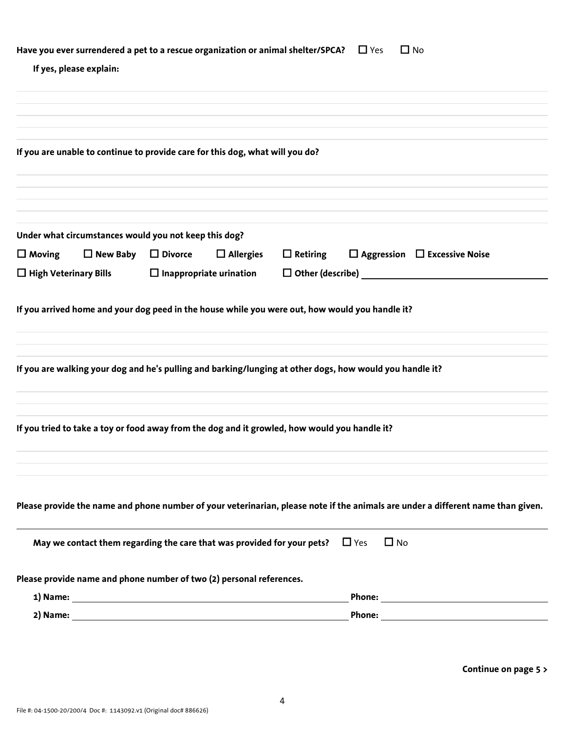|                                                       | Have you ever surrendered a pet to a rescue organization or animal shelter/SPCA? $\Box$ Yes   | $\Box$ No                                                                                                                        |
|-------------------------------------------------------|-----------------------------------------------------------------------------------------------|----------------------------------------------------------------------------------------------------------------------------------|
| If yes, please explain:                               |                                                                                               |                                                                                                                                  |
|                                                       |                                                                                               |                                                                                                                                  |
|                                                       |                                                                                               |                                                                                                                                  |
|                                                       |                                                                                               |                                                                                                                                  |
|                                                       |                                                                                               |                                                                                                                                  |
|                                                       | If you are unable to continue to provide care for this dog, what will you do?                 |                                                                                                                                  |
|                                                       |                                                                                               |                                                                                                                                  |
|                                                       |                                                                                               |                                                                                                                                  |
|                                                       |                                                                                               |                                                                                                                                  |
| Under what circumstances would you not keep this dog? |                                                                                               |                                                                                                                                  |
| $\Box$ New Baby $\Box$ Divorce<br>$\Box$ Moving       | $\Box$ Allergies                                                                              | $\Box$ Retiring<br>$\Box$ Aggression $\Box$ Excessive Noise                                                                      |
| $\Box$ High Veterinary Bills                          | $\Box$ Inappropriate urination                                                                | $\Box$ Other (describe)                                                                                                          |
|                                                       |                                                                                               |                                                                                                                                  |
|                                                       |                                                                                               | If you arrived home and your dog peed in the house while you were out, how would you handle it?                                  |
|                                                       |                                                                                               |                                                                                                                                  |
|                                                       |                                                                                               | If you are walking your dog and he's pulling and barking/lunging at other dogs, how would you handle it?                         |
|                                                       |                                                                                               |                                                                                                                                  |
|                                                       |                                                                                               |                                                                                                                                  |
|                                                       | If you tried to take a toy or food away from the dog and it growled, how would you handle it? |                                                                                                                                  |
|                                                       |                                                                                               |                                                                                                                                  |
|                                                       |                                                                                               |                                                                                                                                  |
|                                                       |                                                                                               | Please provide the name and phone number of your veterinarian, please note if the animals are under a different name than given. |
|                                                       | May we contact them regarding the care that was provided for your pets?                       | $\Box$ Yes<br>$\Box$ No                                                                                                          |
|                                                       | Please provide name and phone number of two (2) personal references.                          |                                                                                                                                  |
|                                                       |                                                                                               |                                                                                                                                  |
|                                                       |                                                                                               |                                                                                                                                  |
|                                                       |                                                                                               |                                                                                                                                  |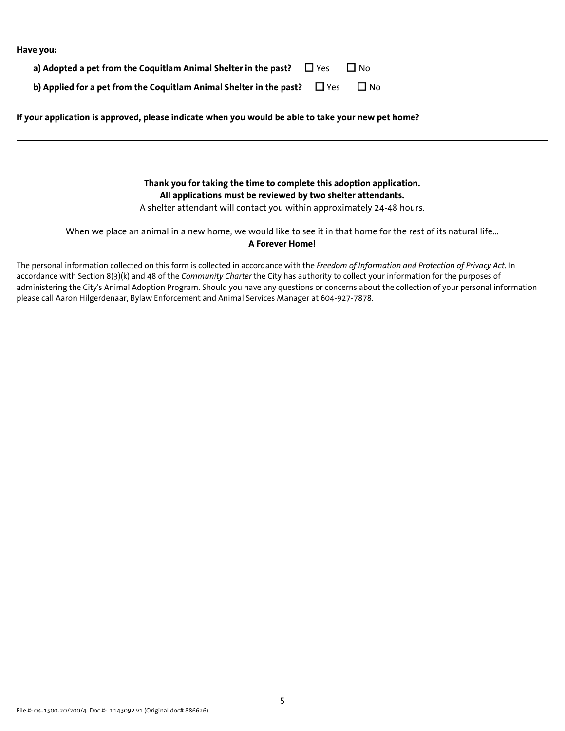**Have you:**

**a) Adopted a pet from the Coquitlam Animal Shelter in the past?**  $\Box$  Yes  $\Box$  No

**b)** Applied for a pet from the Coquitlam Animal Shelter in the past?  $\Box$  Yes  $\Box$  No

**If your application is approved, please indicate when you would be able to take your new pet home?** 

**Thank you for taking the time to complete this adoption application. All applications must be reviewed by two shelter attendants.** A shelter attendant will contact you within approximately 24-48 hours.

When we place an animal in a new home, we would like to see it in that home for the rest of its natural life… **A Forever Home!**

The personal information collected on this form is collected in accordance with the *Freedom of Information and Protection of Privacy Act*. In accordance with Section 8(3)(k) and 48 of the *Community Charter* the City has authority to collect your information for the purposes of administering the City's Animal Adoption Program. Should you have any questions or concerns about the collection of your personal information please call Aaron Hilgerdenaar, Bylaw Enforcement and Animal Services Manager at 604-927-7878.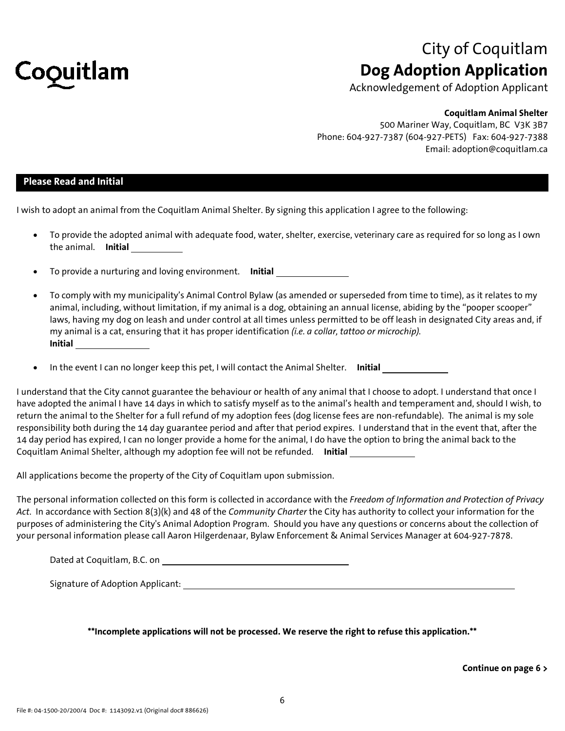

# City of Coquitlam **Dog Adoption Application**

Acknowledgement of Adoption Applicant

## **Coquitlam Animal Shelter**

500 Mariner Way, Coquitlam, BC V3K 3B7 Phone: 604-927-7387 (604-927-PETS) Fax: 604-927-7388 Email: adoption@coquitlam.ca

#### **Please Read and Initial**

I wish to adopt an animal from the Coquitlam Animal Shelter. By signing this application I agree to the following:

- To provide the adopted animal with adequate food, water, shelter, exercise, veterinary care as required for so long as I own the animal. **Initial**
- To provide a nurturing and loving environment. **Initial**
- To comply with my municipality's Animal Control Bylaw (as amended or superseded from time to time), as it relates to my animal, including, without limitation, if my animal is a dog, obtaining an annual license, abiding by the "pooper scooper" laws, having my dog on leash and under control at all times unless permitted to be off leash in designated City areas and, if my animal is a cat, ensuring that it has proper identification *(i.e. a collar, tattoo or microchip).* **Initial**
- In the event I can no longer keep this pet, I will contact the Animal Shelter. **Initial**

I understand that the City cannot guarantee the behaviour or health of any animal that I choose to adopt. I understand that once I have adopted the animal I have 14 days in which to satisfy myself as to the animal's health and temperament and, should I wish, to return the animal to the Shelter for a full refund of my adoption fees (dog license fees are non-refundable). The animal is my sole responsibility both during the 14 day guarantee period and after that period expires. I understand that in the event that, after the 14 day period has expired, I can no longer provide a home for the animal, I do have the option to bring the animal back to the Coquitlam Animal Shelter, although my adoption fee will not be refunded. **Initial**

All applications become the property of the City of Coquitlam upon submission.

The personal information collected on this form is collected in accordance with the *Freedom of Information and Protection of Privacy Act*. In accordance with Section 8(3)(k) and 48 of the *Community Charter* the City has authority to collect your information for the purposes of administering the City's Animal Adoption Program. Should you have any questions or concerns about the collection of your personal information please call Aaron Hilgerdenaar, Bylaw Enforcement & Animal Services Manager at 604-927-7878.

Dated at Coquitlam, B.C. on

Signature of Adoption Applicant:

**\*\*Incomplete applications will not be processed. We reserve the right to refuse this application.\*\***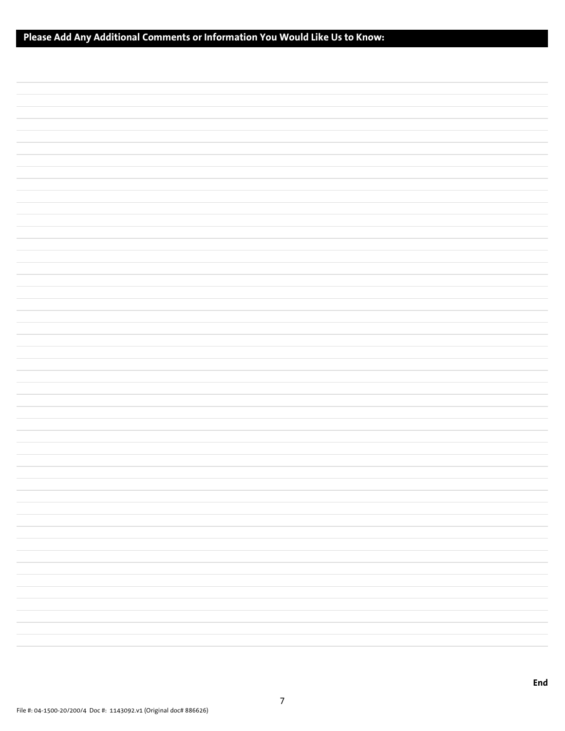## **Please Add Any Additional Comments or Information You Would Like Us to Know:**